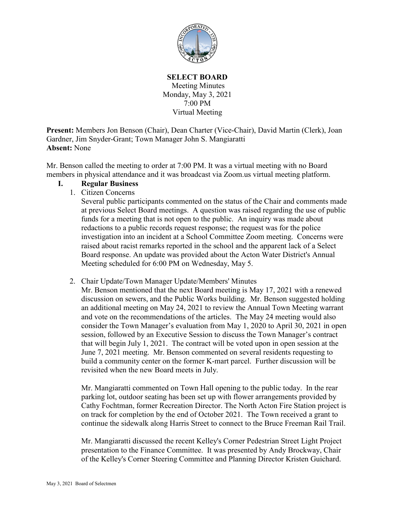

**SELECT BOARD** Meeting Minutes Monday, May 3, 2021 7:00 PM Virtual Meeting

**Present:** Members Jon Benson (Chair), Dean Charter (Vice-Chair), David Martin (Clerk), Joan Gardner, Jim Snyder-Grant; Town Manager John S. Mangiaratti **Absent:** None

Mr. Benson called the meeting to order at 7:00 PM. It was a virtual meeting with no Board members in physical attendance and it was broadcast via Zoom.us virtual meeting platform.

## **I. Regular Business**

1. Citizen Concerns

Several public participants commented on the status of the Chair and comments made at previous Select Board meetings. A question was raised regarding the use of public funds for a meeting that is not open to the public. An inquiry was made about redactions to a public records request response; the request was for the police investigation into an incident at a School Committee Zoom meeting. Concerns were raised about racist remarks reported in the school and the apparent lack of a Select Board response. An update was provided about the Acton Water District's Annual Meeting scheduled for 6:00 PM on Wednesday, May 5.

2. Chair Update/Town Manager Update/Members' Minutes

Mr. Benson mentioned that the next Board meeting is May 17, 2021 with a renewed discussion on sewers, and the Public Works building. Mr. Benson suggested holding an additional meeting on May 24, 2021 to review the Annual Town Meeting warrant and vote on the recommendations of the articles. The May 24 meeting would also consider the Town Manager's evaluation from May 1, 2020 to April 30, 2021 in open session, followed by an Executive Session to discuss the Town Manager's contract that will begin July 1, 2021. The contract will be voted upon in open session at the June 7, 2021 meeting. Mr. Benson commented on several residents requesting to build a community center on the former K-mart parcel. Further discussion will be revisited when the new Board meets in July.

Mr. Mangiaratti commented on Town Hall opening to the public today. In the rear parking lot, outdoor seating has been set up with flower arrangements provided by Cathy Fochtman, former Recreation Director. The North Acton Fire Station project is on track for completion by the end of October 2021. The Town received a grant to continue the sidewalk along Harris Street to connect to the Bruce Freeman Rail Trail.

Mr. Mangiaratti discussed the recent Kelley's Corner Pedestrian Street Light Project presentation to the Finance Committee. It was presented by Andy Brockway, Chair of the Kelley's Corner Steering Committee and Planning Director Kristen Guichard.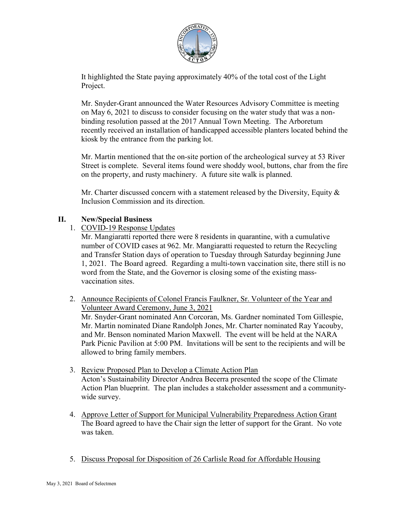

It highlighted the State paying approximately 40% of the total cost of the Light Project.

Mr. Snyder-Grant announced the Water Resources Advisory Committee is meeting on May 6, 2021 to discuss to consider focusing on the water study that was a nonbinding resolution passed at the 2017 Annual Town Meeting. The Arboretum recently received an installation of handicapped accessible planters located behind the kiosk by the entrance from the parking lot.

Mr. Martin mentioned that the on-site portion of the archeological survey at 53 River Street is complete. Several items found were shoddy wool, buttons, char from the fire on the property, and rusty machinery. A future site walk is planned.

Mr. Charter discussed concern with a statement released by the Diversity, Equity & Inclusion Commission and its direction.

## **II. New/Special Business**

1. COVID-19 Response Updates

Mr. Mangiaratti reported there were 8 residents in quarantine, with a cumulative number of COVID cases at 962. Mr. Mangiaratti requested to return the Recycling and Transfer Station days of operation to Tuesday through Saturday beginning June 1, 2021. The Board agreed. Regarding a multi-town vaccination site, there still is no word from the State, and the Governor is closing some of the existing massvaccination sites.

- 2. Announce Recipients of Colonel Francis Faulkner, Sr. Volunteer of the Year and Volunteer Award Ceremony, June 3, 2021 Mr. Snyder-Grant nominated Ann Corcoran, Ms. Gardner nominated Tom Gillespie, Mr. Martin nominated Diane Randolph Jones, Mr. Charter nominated Ray Yacouby, and Mr. Benson nominated Marion Maxwell. The event will be held at the NARA Park Picnic Pavilion at 5:00 PM. Invitations will be sent to the recipients and will be allowed to bring family members.
- 3. Review Proposed Plan to Develop a Climate Action Plan Acton's Sustainability Director Andrea Becerra presented the scope of the Climate Action Plan blueprint. The plan includes a stakeholder assessment and a communitywide survey.
- 4. Approve Letter of Support for Municipal Vulnerability Preparedness Action Grant The Board agreed to have the Chair sign the letter of support for the Grant. No vote was taken.
- 5. Discuss Proposal for Disposition of 26 Carlisle Road for Affordable Housing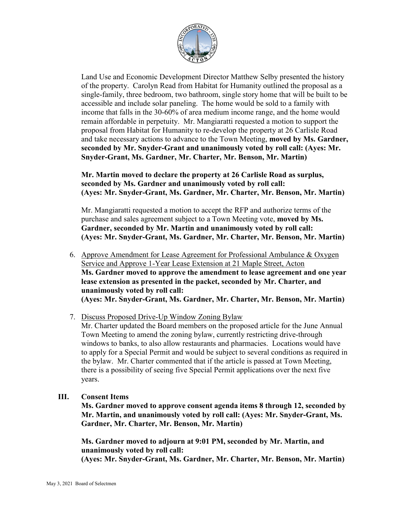

Land Use and Economic Development Director Matthew Selby presented the history of the property. Carolyn Read from Habitat for Humanity outlined the proposal as a single-family, three bedroom, two bathroom, single story home that will be built to be accessible and include solar paneling. The home would be sold to a family with income that falls in the 30-60% of area medium income range, and the home would remain affordable in perpetuity. Mr. Mangiaratti requested a motion to support the proposal from Habitat for Humanity to re-develop the property at 26 Carlisle Road and take necessary actions to advance to the Town Meeting, **moved by Ms. Gardner, seconded by Mr. Snyder-Grant and unanimously voted by roll call: (Ayes: Mr. Snyder-Grant, Ms. Gardner, Mr. Charter, Mr. Benson, Mr. Martin)**

**Mr. Martin moved to declare the property at 26 Carlisle Road as surplus, seconded by Ms. Gardner and unanimously voted by roll call: (Ayes: Mr. Snyder-Grant, Ms. Gardner, Mr. Charter, Mr. Benson, Mr. Martin)**

Mr. Mangiaratti requested a motion to accept the RFP and authorize terms of the purchase and sales agreement subject to a Town Meeting vote, **moved by Ms. Gardner, seconded by Mr. Martin and unanimously voted by roll call: (Ayes: Mr. Snyder-Grant, Ms. Gardner, Mr. Charter, Mr. Benson, Mr. Martin)**

- 6. Approve Amendment for Lease Agreement for Professional Ambulance & Oxygen Service and Approve 1-Year Lease Extension at 21 Maple Street, Acton **Ms. Gardner moved to approve the amendment to lease agreement and one year lease extension as presented in the packet, seconded by Mr. Charter, and unanimously voted by roll call: (Ayes: Mr. Snyder-Grant, Ms. Gardner, Mr. Charter, Mr. Benson, Mr. Martin)**
- 7. Discuss Proposed Drive-Up Window Zoning Bylaw

Mr. Charter updated the Board members on the proposed article for the June Annual Town Meeting to amend the zoning bylaw, currently restricting drive-through windows to banks, to also allow restaurants and pharmacies. Locations would have to apply for a Special Permit and would be subject to several conditions as required in the bylaw. Mr. Charter commented that if the article is passed at Town Meeting, there is a possibility of seeing five Special Permit applications over the next five years.

**III. Consent Items**

**Ms. Gardner moved to approve consent agenda items 8 through 12, seconded by Mr. Martin, and unanimously voted by roll call: (Ayes: Mr. Snyder-Grant, Ms. Gardner, Mr. Charter, Mr. Benson, Mr. Martin)**

**Ms. Gardner moved to adjourn at 9:01 PM, seconded by Mr. Martin, and unanimously voted by roll call:**

**(Ayes: Mr. Snyder-Grant, Ms. Gardner, Mr. Charter, Mr. Benson, Mr. Martin)**